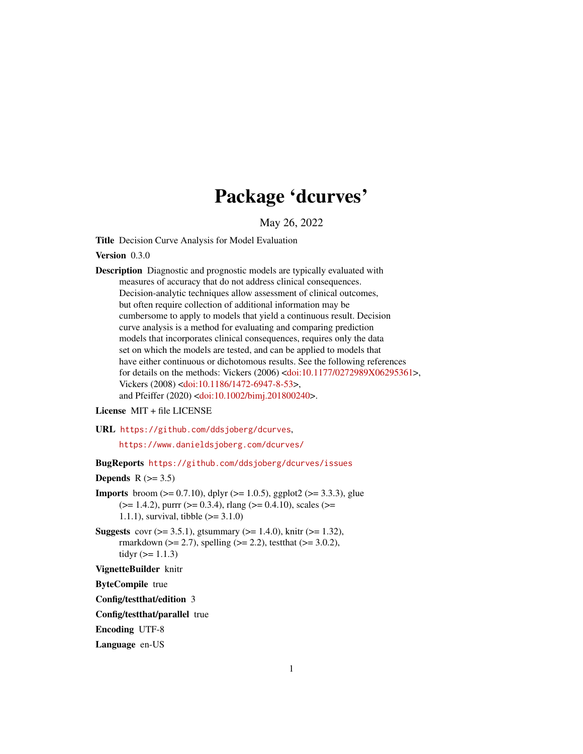# Package 'dcurves'

May 26, 2022

Title Decision Curve Analysis for Model Evaluation

Version 0.3.0

Description Diagnostic and prognostic models are typically evaluated with measures of accuracy that do not address clinical consequences. Decision-analytic techniques allow assessment of clinical outcomes, but often require collection of additional information may be cumbersome to apply to models that yield a continuous result. Decision curve analysis is a method for evaluating and comparing prediction models that incorporates clinical consequences, requires only the data set on which the models are tested, and can be applied to models that have either continuous or dichotomous results. See the following references for details on the methods: Vickers (2006) [<doi:10.1177/0272989X06295361>](https://doi.org/10.1177/0272989X06295361), Vickers (2008) [<doi:10.1186/1472-6947-8-53>](https://doi.org/10.1186/1472-6947-8-53), and Pfeiffer (2020) [<doi:10.1002/bimj.201800240>](https://doi.org/10.1002/bimj.201800240).

License MIT + file LICENSE

URL <https://github.com/ddsjoberg/dcurves>,

<https://www.danieldsjoberg.com/dcurves/>

BugReports <https://github.com/ddsjoberg/dcurves/issues>

Depends  $R$  ( $> = 3.5$ )

- **Imports** broom ( $> = 0.7.10$ ), dplyr ( $> = 1.0.5$ ), ggplot2 ( $> = 3.3.3$ ), glue  $(>= 1.4.2)$ , purrr  $(>= 0.3.4)$ , rlang  $(>= 0.4.10)$ , scales  $(>= 0.4.10)$ 1.1.1), survival, tibble  $(>= 3.1.0)$
- **Suggests** covr ( $>= 3.5.1$ ), gtsummary ( $>= 1.4.0$ ), knitr ( $>= 1.32$ ), rmarkdown ( $>= 2.7$ ), spelling ( $>= 2.2$ ), test that ( $>= 3.0.2$ ), tidyr  $(>= 1.1.3)$

VignetteBuilder knitr

ByteCompile true

Config/testthat/edition 3

Config/testthat/parallel true

Encoding UTF-8

Language en-US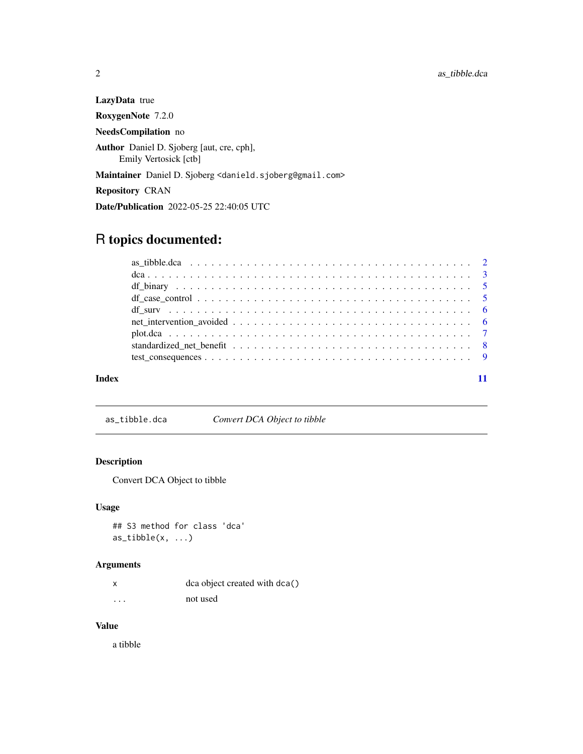<span id="page-1-0"></span>LazyData true RoxygenNote 7.2.0 NeedsCompilation no Author Daniel D. Sjoberg [aut, cre, cph], Emily Vertosick [ctb] Maintainer Daniel D. Sjoberg <danield.sjoberg@gmail.com> Repository CRAN Date/Publication 2022-05-25 22:40:05 UTC

# R topics documented:

| Index |  |
|-------|--|

<span id="page-1-1"></span>as\_tibble.dca *Convert DCA Object to tibble*

# Description

Convert DCA Object to tibble

# Usage

## S3 method for class 'dca'  $as\_tibble(x, ...)$ 

# Arguments

|          | dca object created with dca() |  |
|----------|-------------------------------|--|
| $\cdots$ | not used                      |  |

# Value

a tibble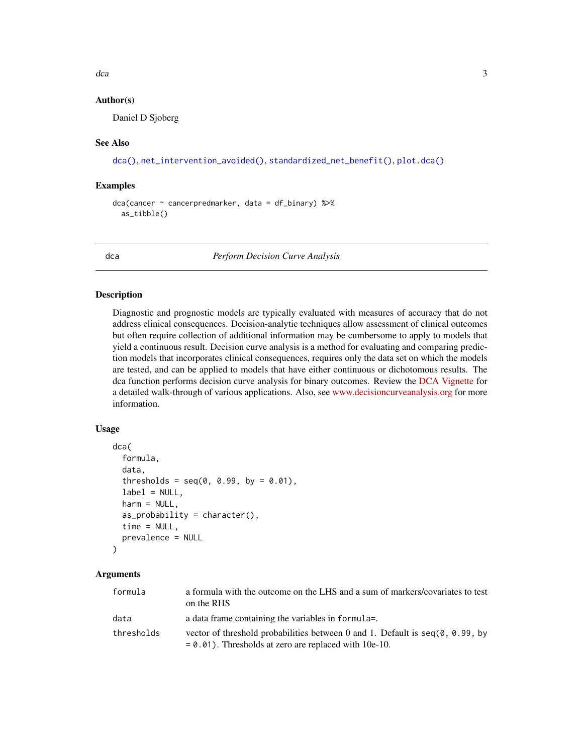<span id="page-2-0"></span> $dca$  3

# Author(s)

Daniel D Sjoberg

# See Also

[dca\(\)](#page-2-1), [net\\_intervention\\_avoided\(\)](#page-5-1), [standardized\\_net\\_benefit\(\)](#page-7-1), [plot.dca\(\)](#page-6-1)

# Examples

```
dca(cancer ~ cancerpredmarker, data = df_binary) %>%
 as_tibble()
```
<span id="page-2-1"></span>dca *Perform Decision Curve Analysis*

## **Description**

Diagnostic and prognostic models are typically evaluated with measures of accuracy that do not address clinical consequences. Decision-analytic techniques allow assessment of clinical outcomes but often require collection of additional information may be cumbersome to apply to models that yield a continuous result. Decision curve analysis is a method for evaluating and comparing prediction models that incorporates clinical consequences, requires only the data set on which the models are tested, and can be applied to models that have either continuous or dichotomous results. The dca function performs decision curve analysis for binary outcomes. Review the [DCA Vignette](https://www.danieldsjoberg.com/dcurves/articles/dca.html) for a detailed walk-through of various applications. Also, see [www.decisioncurveanalysis.org](https://www.mskcc.org/departments/epidemiology-biostatistics/biostatistics/decision-curve-analysis) for more information.

# Usage

```
dca(
  formula,
  data,
  thresholds = seq(0, 0.99, by = 0.01),
  label = NULL,harm = NULL,as\_probability = character(),time = NULL,
  prevalence = NULL
)
```

| formula    | a formula with the outcome on the LHS and a sum of markers/covariates to test<br>on the RHS                                                  |
|------------|----------------------------------------------------------------------------------------------------------------------------------------------|
| data       | a data frame containing the variables in formula=.                                                                                           |
| thresholds | vector of threshold probabilities between 0 and 1. Default is $seq(0, 0.99, bv)$<br>$= 0.01$ ). Thresholds at zero are replaced with 10e-10. |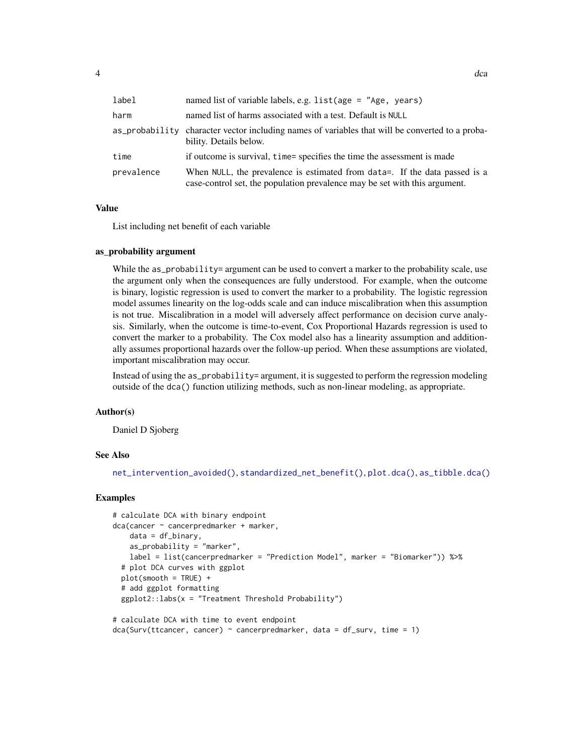<span id="page-3-0"></span>

| label      | named list of variable labels, e.g. list(age = "Age, years)                                                                                              |
|------------|----------------------------------------------------------------------------------------------------------------------------------------------------------|
| harm       | named list of harms associated with a test. Default is NULL                                                                                              |
|            | as probability character vector including names of variables that will be converted to a proba-<br>bility. Details below.                                |
| time       | if outcome is survival, time= specifies the time the assessment is made                                                                                  |
| prevalence | When NULL, the prevalence is estimated from data=. If the data passed is a<br>case-control set, the population prevalence may be set with this argument. |

# Value

List including net benefit of each variable

## as\_probability argument

While the as\_probability= argument can be used to convert a marker to the probability scale, use the argument only when the consequences are fully understood. For example, when the outcome is binary, logistic regression is used to convert the marker to a probability. The logistic regression model assumes linearity on the log-odds scale and can induce miscalibration when this assumption is not true. Miscalibration in a model will adversely affect performance on decision curve analysis. Similarly, when the outcome is time-to-event, Cox Proportional Hazards regression is used to convert the marker to a probability. The Cox model also has a linearity assumption and additionally assumes proportional hazards over the follow-up period. When these assumptions are violated, important miscalibration may occur.

Instead of using the as\_probability= argument, it is suggested to perform the regression modeling outside of the dca() function utilizing methods, such as non-linear modeling, as appropriate.

#### Author(s)

Daniel D Sjoberg

# See Also

[net\\_intervention\\_avoided\(\)](#page-5-1), [standardized\\_net\\_benefit\(\)](#page-7-1), [plot.dca\(\)](#page-6-1), [as\\_tibble.dca\(\)](#page-1-1)

# Examples

```
# calculate DCA with binary endpoint
dca(cancer ~ cancerpredmarker + marker,
   data = df_binary,
   as_probability = "marker",
   label = list(cancerpredmarker = "Prediction Model", marker = "Biomarker")) %>%
 # plot DCA curves with ggplot
 plot(smooth = TRUE) +
 # add ggplot formatting
 ggplot2::labs(x = "Treatment Threshold Probability")# calculate DCA with time to event endpoint
```

```
dca(Surv(ttcancer, cancer) ~ cancerpredmarker, data = df_surv, time = 1)
```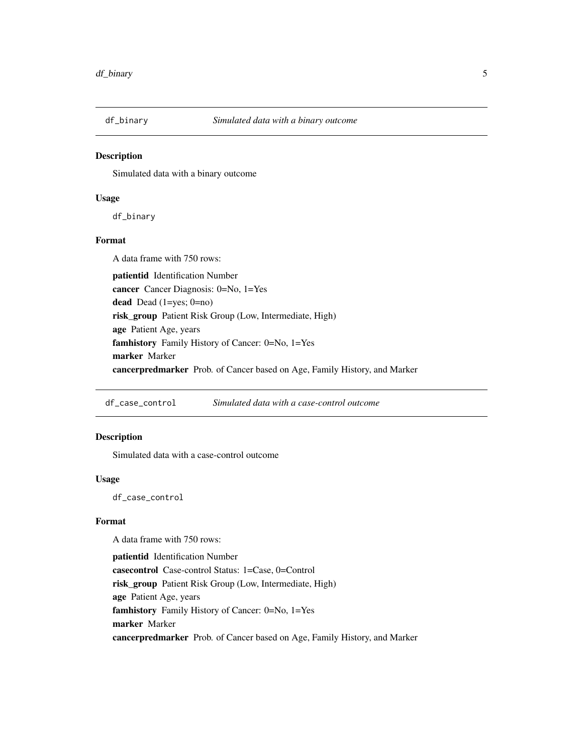<span id="page-4-0"></span>

# Description

Simulated data with a binary outcome

#### Usage

df\_binary

# Format

A data frame with 750 rows: patientid Identification Number cancer Cancer Diagnosis: 0=No, 1=Yes dead Dead (1=yes; 0=no) risk\_group Patient Risk Group (Low, Intermediate, High) age Patient Age, years famhistory Family History of Cancer: 0=No, 1=Yes marker Marker cancerpredmarker Prob. of Cancer based on Age, Family History, and Marker

df\_case\_control *Simulated data with a case-control outcome*

# Description

Simulated data with a case-control outcome

#### Usage

df\_case\_control

# Format

A data frame with 750 rows:

patientid Identification Number casecontrol Case-control Status: 1=Case, 0=Control risk\_group Patient Risk Group (Low, Intermediate, High) age Patient Age, years famhistory Family History of Cancer: 0=No, 1=Yes marker Marker cancerpredmarker Prob. of Cancer based on Age, Family History, and Marker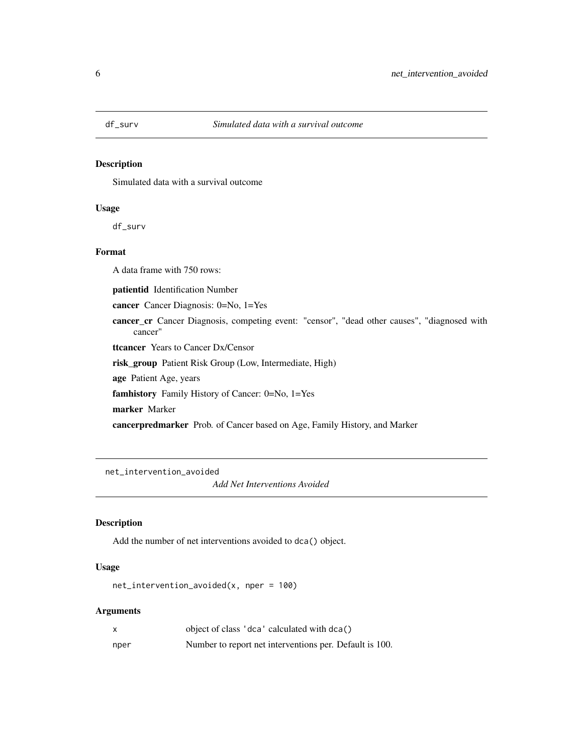<span id="page-5-0"></span>

# Description

Simulated data with a survival outcome

# Usage

df\_surv

# Format

A data frame with 750 rows:

patientid Identification Number

cancer Cancer Diagnosis: 0=No, 1=Yes

cancer\_cr Cancer Diagnosis, competing event: "censor", "dead other causes", "diagnosed with cancer"

ttcancer Years to Cancer Dx/Censor

risk\_group Patient Risk Group (Low, Intermediate, High)

age Patient Age, years

famhistory Family History of Cancer: 0=No, 1=Yes

marker Marker

cancerpredmarker Prob. of Cancer based on Age, Family History, and Marker

<span id="page-5-1"></span>net\_intervention\_avoided

*Add Net Interventions Avoided*

# Description

Add the number of net interventions avoided to dca() object.

#### Usage

net\_intervention\_avoided(x, nper = 100)

| X    | object of class 'dca' calculated with dca()             |
|------|---------------------------------------------------------|
| nper | Number to report net interventions per. Default is 100. |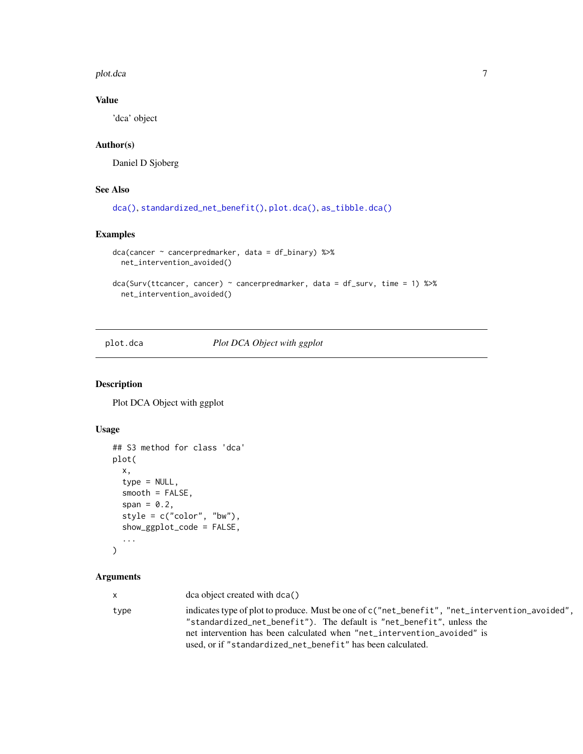<span id="page-6-0"></span>plot.dca 7 and 3 and 3 and 3 and 3 and 3 and 3 and 3 and 3 and 3 and 3 and 3 and 3 and 3 and 3 and 3 and 3 and 3 and 3 and 3 and 3 and 3 and 3 and 3 and 3 and 3 and 3 and 3 and 3 and 3 and 3 and 3 and 3 and 3 and 3 and 3 a

# Value

'dca' object

# Author(s)

Daniel D Sjoberg

# See Also

```
dca(), standardized_net_benefit(), plot.dca(), as_tibble.dca()
```
# Examples

```
dca(cancer ~ cancerpredmarker, data = df_binary) %>%
 net_intervention_avoided()
dca(Surv(ttcancer, cancer) ~ cancerpredmarker, data = df_surv, time = 1) %>%
```
net\_intervention\_avoided()

# <span id="page-6-1"></span>plot.dca *Plot DCA Object with ggplot*

# Description

Plot DCA Object with ggplot

# Usage

```
## S3 method for class 'dca'
plot(
 x,
  type = NULL,
 smooth = FALSE,
 span = 0.2,
 style = c("color", "bw"),
  show_ggplot_code = FALSE,
  ...
\mathcal{L}
```

| X    | $dca$ object created with $dca()$                                                                                                                                                                                                                                                                                 |
|------|-------------------------------------------------------------------------------------------------------------------------------------------------------------------------------------------------------------------------------------------------------------------------------------------------------------------|
| type | indicates type of plot to produce. Must be one of c("net_benefit", "net_intervention_avoided",<br>"standardized_net_benefit"). The default is "net_benefit", unless the<br>net intervention has been calculated when "net_intervention_avoided" is<br>used, or if "standardized_net_benefit" has been calculated. |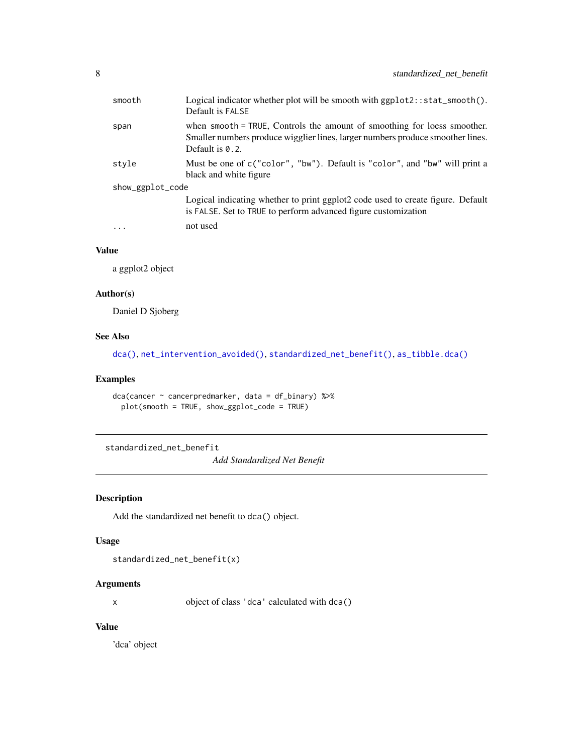<span id="page-7-0"></span>

| smooth           | Logical indicator whether plot will be smooth with ggplot2::stat_smooth().<br>Default is FALSE                                                                                   |
|------------------|----------------------------------------------------------------------------------------------------------------------------------------------------------------------------------|
| span             | when smooth = TRUE, Controls the amount of smoothing for loess smoother.<br>Smaller numbers produce wigglier lines, larger numbers produce smoother lines.<br>Default is $0.2$ . |
| style            | Must be one of c("color", "bw"). Default is "color", and "bw" will print a<br>black and white figure                                                                             |
| show_ggplot_code |                                                                                                                                                                                  |
|                  | Logical indicating whether to print ggplot2 code used to create figure. Default<br>is FALSE. Set to TRUE to perform advanced figure customization                                |
|                  | not used                                                                                                                                                                         |
|                  |                                                                                                                                                                                  |

# Value

a ggplot2 object

# Author(s)

Daniel D Sjoberg

# See Also

[dca\(\)](#page-2-1), [net\\_intervention\\_avoided\(\)](#page-5-1), [standardized\\_net\\_benefit\(\)](#page-7-1), [as\\_tibble.dca\(\)](#page-1-1)

# Examples

```
dca(cancer ~ cancerpredmarker, data = df_binary) %>%
 plot(smooth = TRUE, show_ggplot_code = TRUE)
```
<span id="page-7-1"></span>standardized\_net\_benefit

*Add Standardized Net Benefit*

# Description

Add the standardized net benefit to dca() object.

# Usage

standardized\_net\_benefit(x)

# Arguments

x object of class 'dca' calculated with dca()

# Value

'dca' object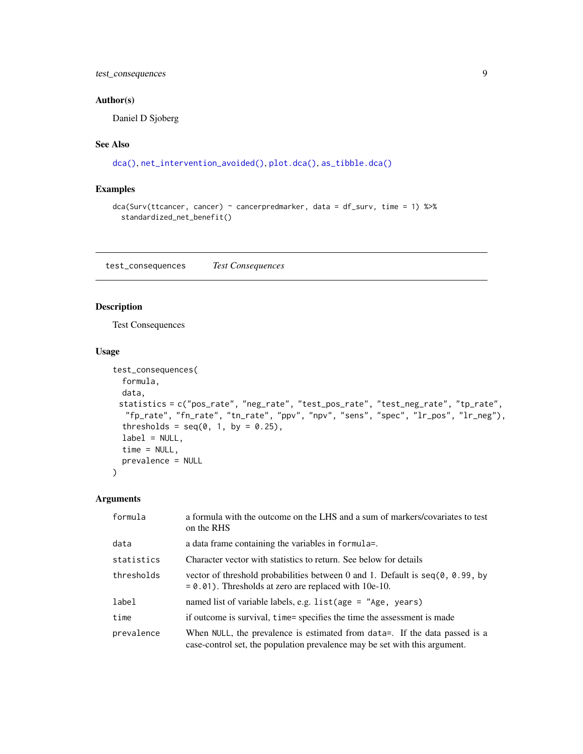# <span id="page-8-0"></span>test\_consequences 9

# Author(s)

Daniel D Sjoberg

# See Also

```
dca(), net_intervention_avoided(), plot.dca(), as_tibble.dca()
```
# Examples

```
dca(Surv(ttcancer, cancer) ~ cancerpredmarker, data = df_surv, time = 1) %>%
  standardized_net_benefit()
```
test\_consequences *Test Consequences*

# Description

Test Consequences

# Usage

```
test_consequences(
  formula,
 data,
 statistics = c("pos_rate", "neg_rate", "test_pos_rate", "test_neg_rate", "tp_rate",
  "fp_rate", "fn_rate", "tn_rate", "ppv", "npv", "sens", "spec", "lr_pos", "lr_neg"),
  thresholds = seq(0, 1, by = 0.25),
  label = NULL,time = NULL,
 prevalence = NULL
)
```

| formula    | a formula with the outcome on the LHS and a sum of markers/covariates to test<br>on the RHS                                                              |
|------------|----------------------------------------------------------------------------------------------------------------------------------------------------------|
| data       | a data frame containing the variables in formula=.                                                                                                       |
| statistics | Character vector with statistics to return. See below for details                                                                                        |
| thresholds | vector of threshold probabilities between 0 and 1. Default is $seq(0, 0.99, by)$<br>$= 0.01$ ). Thresholds at zero are replaced with 10e-10.             |
| label      | named list of variable labels, e.g. $list(age = "Age, years)$                                                                                            |
| time       | if outcome is survival, time= specifies the time the assessment is made                                                                                  |
| prevalence | When NULL, the prevalence is estimated from data=. If the data passed is a<br>case-control set, the population prevalence may be set with this argument. |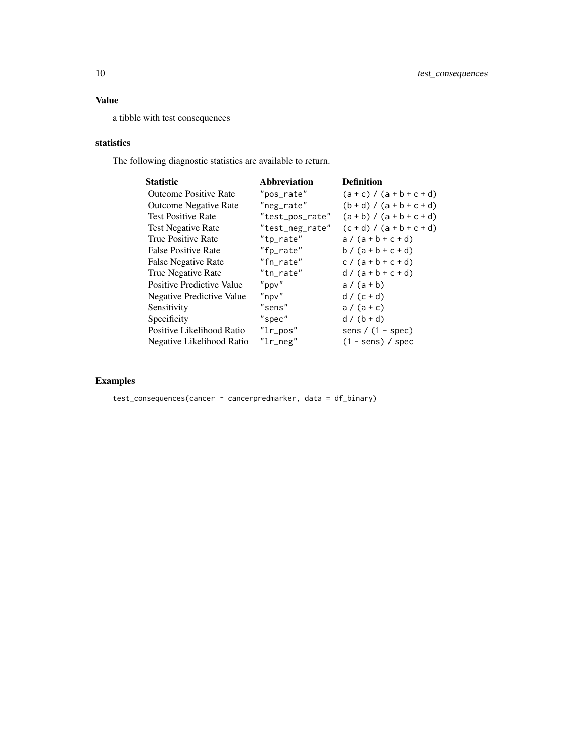# Value

a tibble with test consequences

# statistics

The following diagnostic statistics are available to return.

| <b>Statistic</b>                 | Abbreviation    | <b>Definition</b>           |
|----------------------------------|-----------------|-----------------------------|
| <b>Outcome Positive Rate</b>     | "pos_rate"      | $(a + c) / (a + b + c + d)$ |
| <b>Outcome Negative Rate</b>     | "neg_rate"      | $(b + d) / (a + b + c + d)$ |
| <b>Test Positive Rate</b>        | "test_pos_rate" | $(a + b) / (a + b + c + d)$ |
| <b>Test Negative Rate</b>        | "test_neg_rate" | $(c + d) / (a + b + c + d)$ |
| True Positive Rate               | "tp_rate"       | $a/(a+b+c+d)$               |
| <b>False Positive Rate</b>       | "fp_rate"       | $b / (a + b + c + d)$       |
| False Negative Rate              | "fn_rate"       | $c / (a + b + c + d)$       |
| True Negative Rate               | "tn rate"       | $d/(a+b+c+d)$               |
| <b>Positive Predictive Value</b> | $"$ ppv $"$     | $a/(a+b)$                   |
| Negative Predictive Value        | $"$ npv $"$     | $d / (c + d)$               |
| Sensitivity                      | "sens"          | $a/(a+c)$                   |
| Specificity                      | "spec"          | $d / (b + d)$               |
| Positive Likelihood Ratio        | $"l$ r_pos"     | sens / $(1 - spec)$         |
| Negative Likelihood Ratio        | $"l$ r_neg"     | $(1 - sens)$ / spec         |

# Examples

test\_consequences(cancer ~ cancerpredmarker, data = df\_binary)